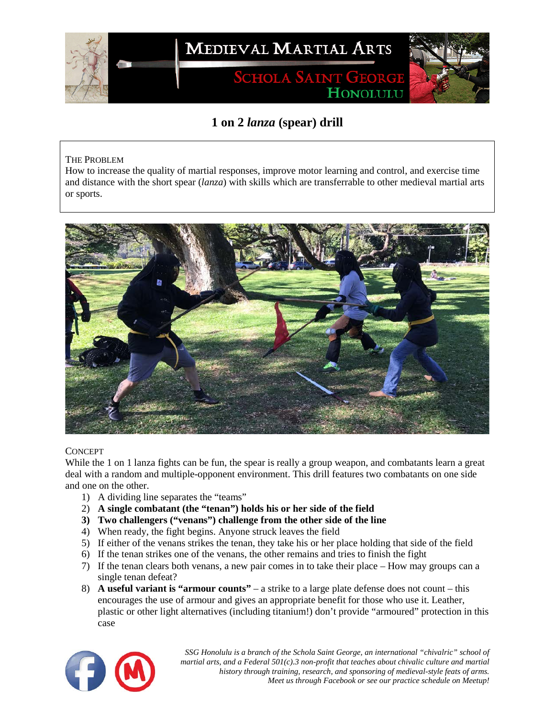

## **1 on 2** *lanza* **(spear) drill**

## THE PROBLEM

How to increase the quality of martial responses, improve motor learning and control, and exercise time and distance with the short spear (*lanza*) with skills which are transferrable to other medieval martial arts or sports.



## **CONCEPT**

While the 1 on 1 lanza fights can be fun, the spear is really a group weapon, and combatants learn a great deal with a random and multiple-opponent environment. This drill features two combatants on one side and one on the other.

- 1) A dividing line separates the "teams"
- 2) **A single combatant (the "tenan") holds his or her side of the field**
- **3) Two challengers ("venans") challenge from the other side of the line**
- 4) When ready, the fight begins. Anyone struck leaves the field
- 5) If either of the venans strikes the tenan, they take his or her place holding that side of the field
- 6) If the tenan strikes one of the venans, the other remains and tries to finish the fight
- 7) If the tenan clears both venans, a new pair comes in to take their place How may groups can a single tenan defeat?
- 8) **A useful variant is "armour counts"** a strike to a large plate defense does not count this encourages the use of armour and gives an appropriate benefit for those who use it. Leather, plastic or other light alternatives (including titanium!) don't provide "armoured" protection in this case



*SSG Honolulu is a branch of the Schola Saint George, an international "chivalric" school of martial arts, and a Federal 501(c).3 non-profit that teaches about chivalic culture and martial history through training, research, and sponsoring of medieval-style feats of arms. Meet us through Facebook or see our practice schedule on Meetup!*